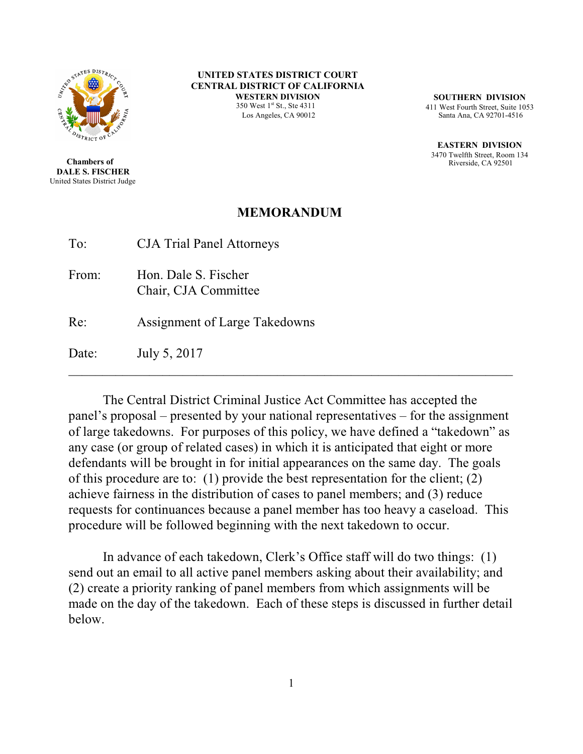

**Chambers of DALE S. FISCHER** United States District Judge

**UNITED STATES DISTRICT COURT CENTRAL DISTRICT OF CALIFORNIA WESTERN DIVISION** 350 West 1 st St., Ste 4311 Los Angeles, CA 90012

**SOUTHERN DIVISION** 411 West Fourth Street, Suite 1053 Santa Ana, CA 92701-4516

**EASTERN DIVISION** 3470 Twelfth Street, Room 134 Riverside, CA 92501

## **MEMORANDUM**

| To:   | <b>CJA</b> Trial Panel Attorneys             |
|-------|----------------------------------------------|
| From: | Hon. Dale S. Fischer<br>Chair, CJA Committee |
| Re:   | Assignment of Large Takedowns                |
|       |                                              |

Date: **July 5, 2017** 

The Central District Criminal Justice Act Committee has accepted the panel's proposal – presented by your national representatives – for the assignment of large takedowns. For purposes of this policy, we have defined a "takedown" as any case (or group of related cases) in which it is anticipated that eight or more defendants will be brought in for initial appearances on the same day. The goals of this procedure are to: (1) provide the best representation for the client; (2) achieve fairness in the distribution of cases to panel members; and (3) reduce requests for continuances because a panel member has too heavy a caseload. This procedure will be followed beginning with the next takedown to occur.

 $\frac{1}{2}$  ,  $\frac{1}{2}$  ,  $\frac{1}{2}$  ,  $\frac{1}{2}$  ,  $\frac{1}{2}$  ,  $\frac{1}{2}$  ,  $\frac{1}{2}$  ,  $\frac{1}{2}$  ,  $\frac{1}{2}$  ,  $\frac{1}{2}$  ,  $\frac{1}{2}$  ,  $\frac{1}{2}$  ,  $\frac{1}{2}$  ,  $\frac{1}{2}$  ,  $\frac{1}{2}$  ,  $\frac{1}{2}$  ,  $\frac{1}{2}$  ,  $\frac{1}{2}$  ,  $\frac{1$ 

In advance of each takedown, Clerk's Office staff will do two things: (1) send out an email to all active panel members asking about their availability; and (2) create a priority ranking of panel members from which assignments will be made on the day of the takedown. Each of these steps is discussed in further detail below.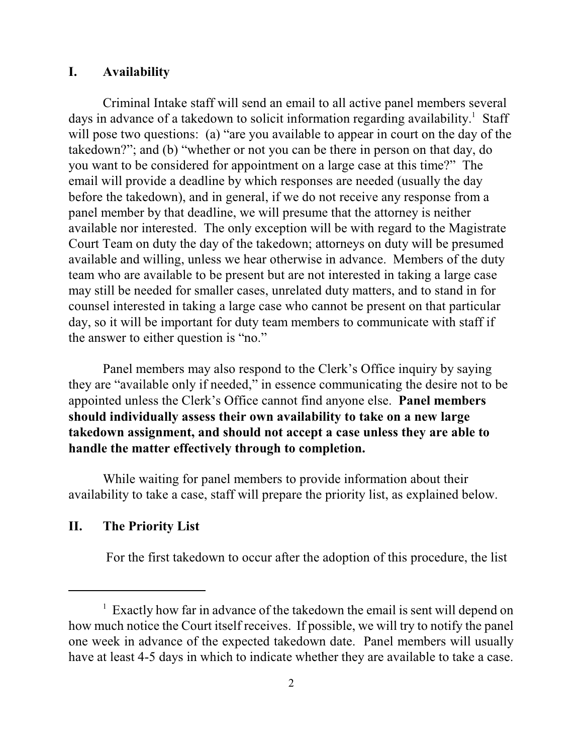## **I. Availability**

Criminal Intake staff will send an email to all active panel members several days in advance of a takedown to solicit information regarding availability.<sup>1</sup> Staff will pose two questions: (a) "are you available to appear in court on the day of the takedown?"; and (b) "whether or not you can be there in person on that day, do you want to be considered for appointment on a large case at this time?" The email will provide a deadline by which responses are needed (usually the day before the takedown), and in general, if we do not receive any response from a panel member by that deadline, we will presume that the attorney is neither available nor interested. The only exception will be with regard to the Magistrate Court Team on duty the day of the takedown; attorneys on duty will be presumed available and willing, unless we hear otherwise in advance. Members of the duty team who are available to be present but are not interested in taking a large case may still be needed for smaller cases, unrelated duty matters, and to stand in for counsel interested in taking a large case who cannot be present on that particular day, so it will be important for duty team members to communicate with staff if the answer to either question is "no."

Panel members may also respond to the Clerk's Office inquiry by saying they are "available only if needed," in essence communicating the desire not to be appointed unless the Clerk's Office cannot find anyone else. **Panel members should individually assess their own availability to take on a new large takedown assignment, and should not accept a case unless they are able to handle the matter effectively through to completion.** 

While waiting for panel members to provide information about their availability to take a case, staff will prepare the priority list, as explained below.

## **II. The Priority List**

For the first takedown to occur after the adoption of this procedure, the list

 $1$  Exactly how far in advance of the takedown the email is sent will depend on how much notice the Court itself receives. If possible, we will try to notify the panel one week in advance of the expected takedown date. Panel members will usually have at least 4-5 days in which to indicate whether they are available to take a case.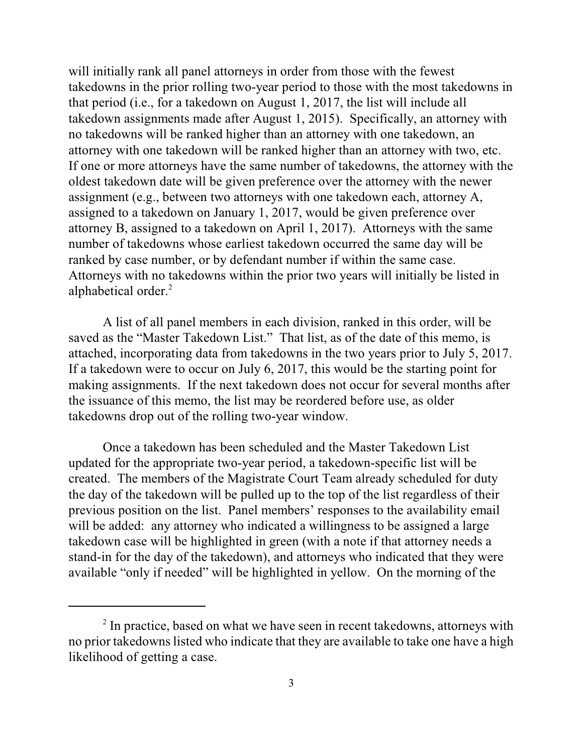will initially rank all panel attorneys in order from those with the fewest takedowns in the prior rolling two-year period to those with the most takedowns in that period (i.e., for a takedown on August 1, 2017, the list will include all takedown assignments made after August 1, 2015). Specifically, an attorney with no takedowns will be ranked higher than an attorney with one takedown, an attorney with one takedown will be ranked higher than an attorney with two, etc. If one or more attorneys have the same number of takedowns, the attorney with the oldest takedown date will be given preference over the attorney with the newer assignment (e.g., between two attorneys with one takedown each, attorney A, assigned to a takedown on January 1, 2017, would be given preference over attorney B, assigned to a takedown on April 1, 2017). Attorneys with the same number of takedowns whose earliest takedown occurred the same day will be ranked by case number, or by defendant number if within the same case. Attorneys with no takedowns within the prior two years will initially be listed in alphabetical order.<sup>2</sup>

A list of all panel members in each division, ranked in this order, will be saved as the "Master Takedown List." That list, as of the date of this memo, is attached, incorporating data from takedowns in the two years prior to July 5, 2017. If a takedown were to occur on July 6, 2017, this would be the starting point for making assignments. If the next takedown does not occur for several months after the issuance of this memo, the list may be reordered before use, as older takedowns drop out of the rolling two-year window.

Once a takedown has been scheduled and the Master Takedown List updated for the appropriate two-year period, a takedown-specific list will be created. The members of the Magistrate Court Team already scheduled for duty the day of the takedown will be pulled up to the top of the list regardless of their previous position on the list. Panel members' responses to the availability email will be added: any attorney who indicated a willingness to be assigned a large takedown case will be highlighted in green (with a note if that attorney needs a stand-in for the day of the takedown), and attorneys who indicated that they were available "only if needed" will be highlighted in yellow. On the morning of the

<sup>&</sup>lt;sup>2</sup> In practice, based on what we have seen in recent takedowns, attorneys with no prior takedowns listed who indicate that they are available to take one have a high likelihood of getting a case.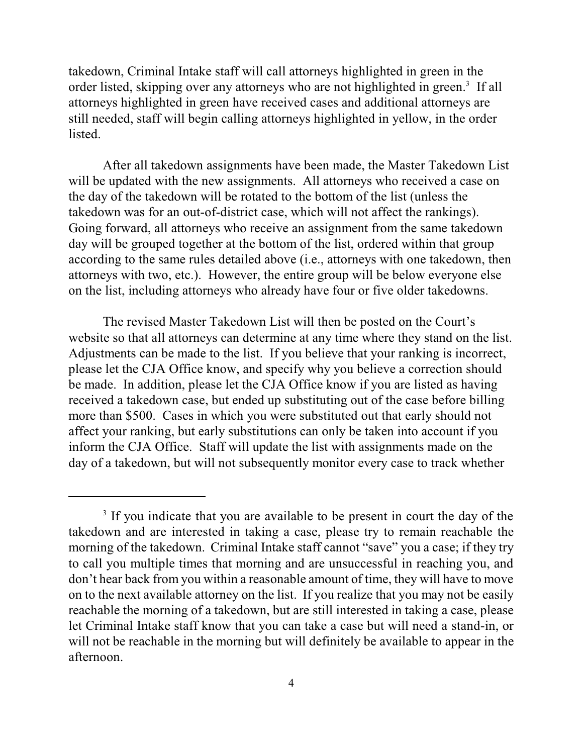takedown, Criminal Intake staff will call attorneys highlighted in green in the order listed, skipping over any attorneys who are not highlighted in green.<sup>3</sup> If all attorneys highlighted in green have received cases and additional attorneys are still needed, staff will begin calling attorneys highlighted in yellow, in the order listed.

After all takedown assignments have been made, the Master Takedown List will be updated with the new assignments. All attorneys who received a case on the day of the takedown will be rotated to the bottom of the list (unless the takedown was for an out-of-district case, which will not affect the rankings). Going forward, all attorneys who receive an assignment from the same takedown day will be grouped together at the bottom of the list, ordered within that group according to the same rules detailed above (i.e., attorneys with one takedown, then attorneys with two, etc.). However, the entire group will be below everyone else on the list, including attorneys who already have four or five older takedowns.

The revised Master Takedown List will then be posted on the Court's website so that all attorneys can determine at any time where they stand on the list. Adjustments can be made to the list. If you believe that your ranking is incorrect, please let the CJA Office know, and specify why you believe a correction should be made. In addition, please let the CJA Office know if you are listed as having received a takedown case, but ended up substituting out of the case before billing more than \$500. Cases in which you were substituted out that early should not affect your ranking, but early substitutions can only be taken into account if you inform the CJA Office. Staff will update the list with assignments made on the day of a takedown, but will not subsequently monitor every case to track whether

<sup>&</sup>lt;sup>3</sup> If you indicate that you are available to be present in court the day of the takedown and are interested in taking a case, please try to remain reachable the morning of the takedown. Criminal Intake staff cannot "save" you a case; if they try to call you multiple times that morning and are unsuccessful in reaching you, and don't hear back from you within a reasonable amount of time, they will have to move on to the next available attorney on the list. If you realize that you may not be easily reachable the morning of a takedown, but are still interested in taking a case, please let Criminal Intake staff know that you can take a case but will need a stand-in, or will not be reachable in the morning but will definitely be available to appear in the afternoon.